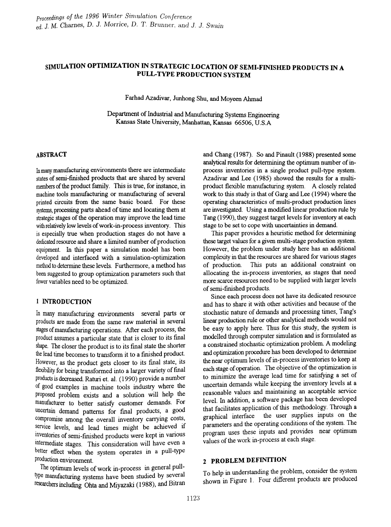# SIMULATION OPTIMIZATION IN STRATEGIC LOCATION OF SEMI-FINISHED PRODUCTS IN A PULL-TYPE PRODUCTION SYSTEM

Farhad Azadivar, Junhong Shu, and Moyeen Ahmad

Department of Industrial and Manufacturing Systems Engineering Kansas State University, Manhattan, Kansas 66506, U.S.A

#### ABSTRACT

In many manufacturing environments there are intermediate states of semi-finished products that are shared by several members of the product family. This is true, for instance, in machine tools manufacturing or manufacturing of several printed circuits from the same basic board. For these systems, processing parts ahead of time and locating them at strategic stages of the operation may improve the lead time with relatively low levels of work-in-process inventory. This is especially true when production stages do not have a dedicated resource and share a limited number of production equipment. In this paper a simulation model has been developed and interfaced with a simulation-optimization method to detennine these levels. Furthermore, a method has been suggested to group optimization parameters such that fewer variables need to be optimized.

### 1 INTRODUCTION

In many manufacturing environments several parts or products are made from the same raw material in several stages ofmanufacturing operations. After each process, the product assumes a particular state that is closer to its fmal shape. The closer the product is to its final state the shorter the lead time becomes to transform it to a finished product. However, as the product gets closer to its final state, its flexibility for being transformed into a larger variety of final products is decreased. Raturi et. a1. (1990) provide a nwnber of good examples in machine tools industry where the proposed problem exists and a solution will help the manufacturer to better satisfy customer demands. For uncertain demand patterns for final products, a good compromise among the overall inventory carrying costs, service levels, and lead times might be achieved if inventories of semi-finished products were kept in various Intermediate stages. This consideration will have even a better effect when the system operates in a pull-type production environment.

The optimum levels of work in-process in general pulltype manufacturing systems have been studied by several researchers including Ohta and Miyazaki (1988), and Bitran

and Chang (1987). So and Pinault (1988) presented some analytical results for determining the optimum number of inprocess inventories in a single product pull-type system. Azadivar and Lee (1985) showed the results for a multiproduct flexible manufacturing system. A closely related work to this study is that of Garg and Lee (1994) where the operating characteristics of multi-product production lines are investigated. Using a modified linear production rule by Tang (1990), they suggest target levels for inventory at each stage to be set to cope with uncertainties in demand.

This paper provides a heuristic method for determining these target values for a given multi-stage production system. However, the problem under study here has an additional complexity in that the resources are shared for various stages of production. This puts an additional constraint on allocating the in-process inventories, as stages that need more scarce resources need to be supplied with larger levels of semi-finished products.

Since each process does not have its dedicated resource and has to share it with other activities and because of the stochastic nature of demands and processing times, Tang's linear production rule or other analytical methods would not be easy to apply here. Thus for this study, the system is modelled through computer simulation and is fonnulated as a constrained stochastic optimization problem. A modeling and optimization procedme has been developed to determine the near optimum levels of in-process inventories to keep at each stage of operation. The objective of the optimization is to minimize the average lead time for satisfying a set of uncertain demands while keeping the inventory levels at a reasonable values and maintaining an acceptable service level. In addition, a software package has been developed that facilitates application of this methodology. Through a graphical interface the user supplies inputs on the the user supplies inputs on the parameters and the operating conditions of the system. The program uses these inputs and provides near optimum values of the work in-process at each stage.

# 2 PROBLEM DEFINITION

To help in understanding the problem, consider the system shown in Figure 1. Four different products are produced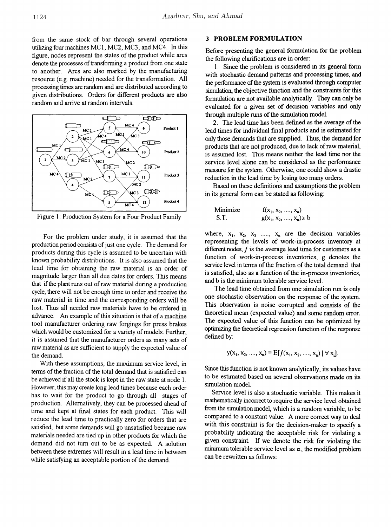from the same stock of bar through several operations utilizing four machines MC1) MC2) MC3) and MC4. In this figure) nodes represent the states of the product while arcs denote the processes of transforming a product from one state to another. Arcs are also marked by the manufactwing resource (e.g. machine) needed for the transformation. All processing times are random and are distributed according to given distributions. Orders for different products are also random and arrive at random intervals.



Figure 1: Production System for a Four Product Family

For the problem under study, it is assumed that the production period consists of just one cycle. The demand for products during this cycle is assumed to be uncertain with known probability distributions. It is also assumed that the lead time for obtaining the raw material is an order of magnitude larger than all due dates for orders. This means that if the plant runs out of raw material during a production cycle, there will not be enough time to order and receive the raw material in time and the corresponding orders will be lost. Thus all needed raw materials have to be ordered in advance. An example of this situation is that of a machine tool manufacturer ordering raw forgings for press brakes which would be customized for a variety of models. Further, it is asswned that the manufacturer orders as many sets of raw material as are sufficient to supply the expected value of the demand.

With these assumptions, the maximum service level, in terms of the fraction of the total demand that is satisfied can be achieved if all the stock is kept in the raw state at node 1. However, this may create long lead times because each order has to wait for the product to go through all stages of production. Alternatively, they can be processed ahead of time and kept at fmal states for each product. This will reduce the lead time to practically zero for orders that are satisfied, but some demands will go unsatisfied because raw materials needed are tied up in other products for which the demand did not turn out to be as expected. A solution between these extremes will result in a lead time in between while satisfying an acceptable portion of the demand.

#### **3 PROBLEM** FORMULATION

Before presenting the general formulation for the problem the following clarifications are in order:

1. Since the problem is considered in its general form with stochastic demand patterns and processing times, and the performance of the system is evaluated through computer simulation, the objective fimction and the constraints for this fonnulation are not available analytically. They can only be evaluated for a given set of decision variables and only through multiple runs of the simulation model.

2. The lead time has been defined as the average of the lead times for individual fmal products and is estimated for only those demands that are supplied. Thus, the demand for products that are not produced, due to lack of raw material, is asswned lost. This means neither the lead time nor the service level alone can be considered as the performance measure for the system. Otherwise, one could show a drastic reduction in the lead time by losing too many orders.

Based on these defmitions and asswnptions the problem in its general form can be stated as following:

Minimize 
$$
f(x_1, x_2, ..., x_n)
$$
  
\nS.T.  $g(x_1, x_2, ..., x_n) \ge b$ 

where,  $x_1, x_2, x_3, \ldots, x_n$  are the decision variables representing the levels of work-in-process inventory at different nodes,  $f$  is the average lead time for customers as a function of work-in-process inventories, g denotes the service level in terms of the fraction of the total demand that is satisfied, also as a function of the in-process inventories, and b is the minimum tolerable service level.

The lead time obtained from one simulation run is only one stochastic observation on the response of the system. This observation is noise corrupted and consists of the theoretical mean (expected value) and some random error. The expected value of this function can be optimized by optimizing the theoretical regression function of the response defined by:

$$
y(x_1, x_2, \ldots, x_n) = E[f(x_1, x_2, \ldots, x_n) \mid \forall x_i].
$$

Since this fimction is not known analytically, its values have to be estimated based on several observations made on its simulation model.

Service level is also a stochastic variable. This makes it mathematically incorrect to require the service level obtained from the simulation model, which is a random variable, to be compared to a constant value. A more correct way to deal with this constraint is for the decision-maker to specify a probability indicating the acceptable risk for violating a given constraint. If we denote the risk for violating the minimum tolerable service level as  $\alpha$ , the modified problem can be rewritten as follows: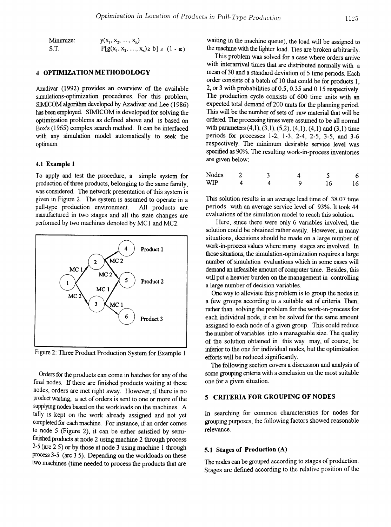#### 4 OPTIMIZATION METHODOLOGY

Azadivar (1992) provides an overview of the available simulations-optimization procedures. For this problem, SIMICOM algorithm developed by Azadivar and Lee (1986) has been employed. SIMICOM is developed for solving the optimization problems as defmed above and is based on Box's (1965) complex search method. It can be interfaced with any simulation model automatically to seek the optimum.

#### 4.1 Example 1

To apply and test the procedure, a simple system for production of three products, belonging to the same family, was considered. The network presentation of this system is given in Figure 2. The system is assumed to operate in a pull-type production environment. All products are manufactured in two stages and all the state changes are performed by two machines denoted by MC1 and MC2.



Figure 2: Three Product Production System for Example 1

Orders for the products can come in batches for any of the final nodes. If there are finished products waiting at these nodes, orders are met right away. However, if there is no product waiting, a set of orders is sent to one or more of the supplying nodes based on the workloads on the machines. A tally is kept on the work already assigned and not yet completed for each machine. For instance, if an order comes to node 5 (Figure 2), it can be either satisfied by semifinished products at node 2 using machine 2 through process 2-5 (arc 2 5) or by those at node 3 using machine 1 through process 3-5 (arc 3 5). Depending on the workloads on these two machines (time needed to process the products that are

waiting in the machine queue), the load will be assigned to the machine with the lighter load. Ties are broken arbitrarily.

This problem was solved for a case where orders arrive with interarrival times that are distributed normally with a mean of 30 and a standard deviation of 5 time periods. Each order consists of a batch of 10 that could be for products 1, 2, or 3 with probabilities of0.5, 0.35 and 0.15 respectively. The production cycle consists of 600 time units with an expected total demand of 200 units for the planning period. This will be the number of sets of raw material that will be ordered. The processing times were assumed to be all normal with parameters  $(4,1)$ ,  $(3,1)$ ,  $(5,2)$ ,  $(4,1)$ ,  $(4,1)$  and  $(3,1)$  time periods for processes 1-2, 1-3, 2-4, 2-5, 3-5, and 3-6 respectively. The minimum desirable service level was specified as 90%. The resulting work-in-process inventories are given below:

| Nodes |  |  |   |
|-------|--|--|---|
| WIP   |  |  | 6 |

This solution results in an average lead time of 38.07 time periods with an average service level of 93%. It took 44 evaluations of the simulation model to reach this solution.

Here, since there were only 6 variables involved, the solution could be obtained rather easily. However, in many situations, decisions should be made on a large number of work-in-process values where many stages are involved. In those situations, the simulation-optimization requires a large number of simulation evaluations which in some cases will demand an infeasible amount of computer time. Besides, this will put a heavier burden on the management in controlling a large number of decision variables.

One way to alleviate this problem is to group the nodes in a few groups according to a suitable set of criteria. Then, rather than solving the problem for the work-in-process for each individual node, it can be solved for the same amount assigned to each node of a given group. This could reduce the number of variables into a manageable size. The quality of the solution obtained in this way may, of course, be inferior to the one for individual nodes, but the optimization efforts will be reduced significantly.

The following section covers a discussion and analysis of some grouping criteria with a conclusion on the most suitable one for a given situation.

## 5 CRITERIA FOR GROUPING OF NODES

In searching for common characteristics for nodes for grouping pwposes, the following factors showed reasonable relevance.

#### 5.1 Stages of Production (A)

The nodes can be grouped according to stages of production. Stages are defmed according to the relative position of the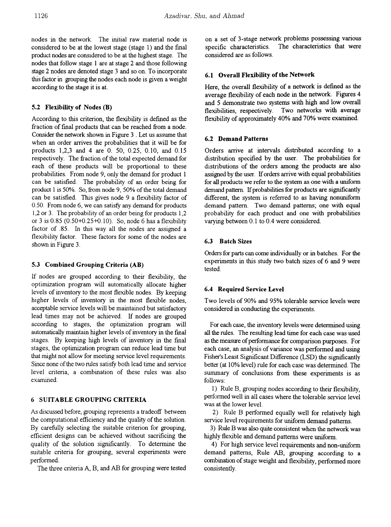nodes in the network. The initial raw material node is considered to be at the lowest stage (stage 1) and the final product nodes are considered to be at the highest stage. The nodes that follow stage 1 are at stage 2 and those following stage 2 nodes are denoted stage 3 and so on. To incorporate this factor in grouping the nodes each node is given a weight according to the stage it is at.

### 5.2 Flexibility of Nodes (B)

According to this criterion, the flexibility is defmed as the fraction of final products that can be reached from a node. Consider the network shown in Figure 3 . Let us assume that when an order arrives the probabilities that it will be for products 1,2,3 and 4 are O. 50, 0.25, 0.10, and 0.15 respectively. The fraction of the total expected demand for each of these products will be proportional to these probabilities. From node 9, only the demand for product 1 can be satisfied. The probability of an order being for product 1 is 50%. So, from node 9, 50% of the total demand can be satisfied. This gives node 9 a flexibility factor of 0.50. From node 6, we can satisfy any demand for products 1,2 or 3. The probability of an order being for products 1,2 or 3 is 0.85 (0.50+0.25+0.10). So, node 6 has a flexibility factor of .85. In this way all the nodes are assigned a flexibility factor. These factors for some of the nodes are shown in Figure 3.

#### 5.3 Combined Grouping Criteria (AB)

If nodes are grouped according to their flexibility, the optimization program will automatically allocate higher levels of inventory to the most flexible nodes. By keeping higher levels of inventory in the most flexible nodes, acceptable service levels will be maintained but satisfactory lead times may not be achieved. If nodes are grouped according to stages, the optimization program will automatically maintain higher levels of inventory in the final stages. By keeping high levels of inventory in the fmal stages, the optimization program can reduce lead time but that might not allow for meeting service level requirements. Since none of the two rules satisfy both lead time and service level criteria, a combination of these rules was also examined.

#### 6 SUITABLE GROUPING CRITERIA

As discussed before, grouping represents a tradeoff between the computational efficiency and the quality of the solution. By carefully selecting the suitable criterion for grouping, efficient designs can be achieved without sacrificing the quality of the solution significantly. To determine the suitable criteria for grouping, several experiments were perfonned.

The three criteria A, B, and AB for grouping were tested

on a set of 3-stage network problems possessing various specific characteristics. The characteristics that were considered are as follows.

### 6.1 Overall Flexibility of the Network

Here, the overall flexibility of a network is defined as the average flexibility of each node in the network. Figures 4 and 5 demonstrate two systems with high and low overall flexibilities, respectively. Two networks with average flexibility of approximately 40% and 70% were examined.

#### 6.2 Demand Patterns

Orders arrive at intervals distributed according to a distribution specified by the user. The probabilities for distributions of the orders among the products are also assigned by the user. If orders arrive with equal probabilities for all products we refer to the system as one with a uniform demand pattern. If probabilities for products are significantly different, the system is referred to as having nonuniform demand pattern. Two demand patterns; one with equal probability for each product and one with probabilities varying between 0.1 to 0.4 were considered.

#### 6.3 Batch Sizes

Orders for parts can come individually or in batches. For the experiments in this study two batch sizes of 6 and 9 were tested.

#### 6.4 Required Service Level

Two levels of 90% and 95% tolerable service levels were considered in conducting the experiments.

For each case, the inventory levels were determined using all the rules. The resulting lead time for each case was used as the measure of performance for comparison purposes. For each case, an analysis of variance was perfonned and using Fisher's Least Significant Difference (LSD) the significantly better (at 10% level) rule for each case was determined. The summary of conclusions from these experiments is as follows:

1) Rule B, grouping nodes according to their flexibility, performed well in all cases where the tolerable service level was at the lower level.

2) Rule B performed equally well for relatively high service level requirements for uniform demand patterns.

3) Rule B was also quite consistent when the network was highly flexible and demand patterns were uniform.

4) For high service level requirements and non-uniform demand patterns, Rule AB, grouping according to a combination of stage weight and flexibility, performed more consistently.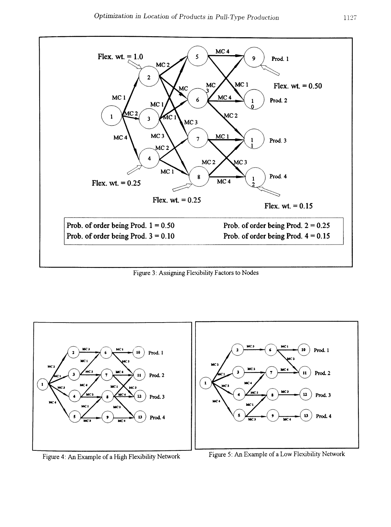

Figure 3: Assigning Flexibility Factors to Nodes



Figure 4: An Example of a High Flexibility Network Figure 5: An Example of a Low Flexibility Network